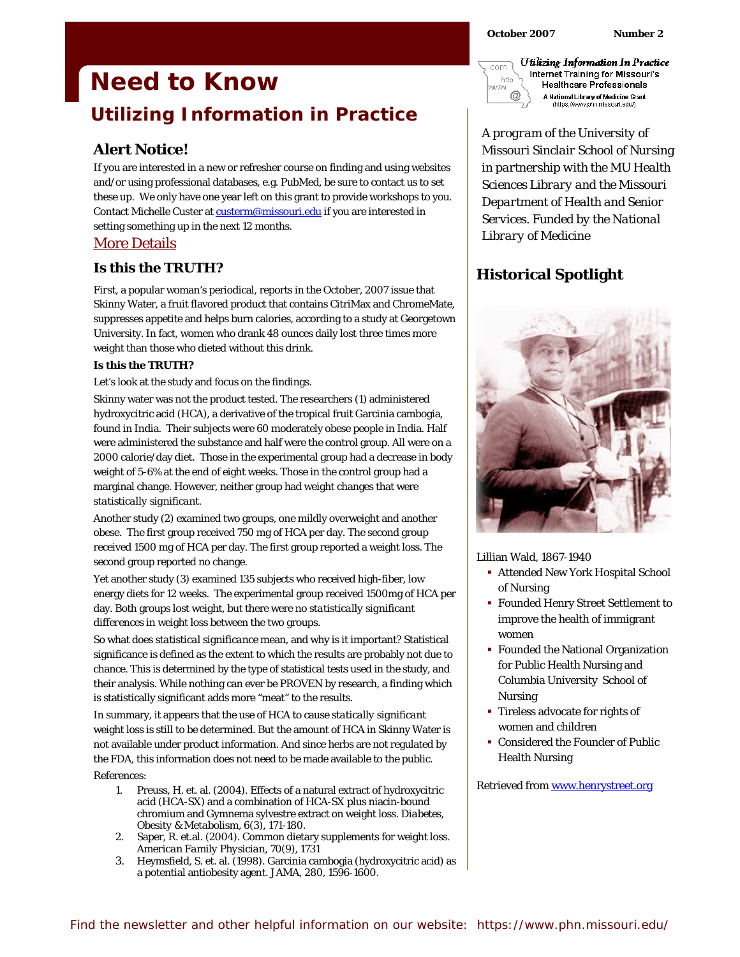# **Need to Know Utilizing Information in Practice**

# **Alert Notice!**

If you are interested in a new or refresher course on finding and using websites and/or using professional databases, e.g. PubMed, be sure to contact us to set these up. We only have one year left on this grant to provide workshops to you. Contact Michelle Custer at custerm@missouri.edu if you are interested in setting something up in the next 12 months.

## More Details

#### **Is this the TRUTH?**

*First,* a popular woman's periodical, reports in the October, 2007 issue that Skinny Water, a fruit flavored product that contains CitriMax and ChromeMate, suppresses appetite and helps burn calories, according to a study at Georgetown University. In fact, women who drank 48 ounces daily lost three times more weight than those who dieted without this drink.

#### **Is this the TRUTH?**

Let's look at the study and focus on the findings.

Skinny water was not the product tested. The researchers (1) administered hydroxycitric acid (HCA), a derivative of the tropical fruit Garcinia cambogia, found in India. Their subjects were 60 moderately obese people in India. Half were administered the substance and half were the control group. All were on a 2000 calorie/day diet. Those in the experimental group had a decrease in body weight of 5-6% at the end of eight weeks. Those in the control group had a marginal change. However, neither group had weight changes that were *statistically significant.* 

Another study (2) examined two groups, one mildly overweight and another obese. The first group received 750 mg of HCA per day. The second group received 1500 mg of HCA per day. The first group reported a weight loss. The second group reported no change.

Yet another study (3) examined 135 subjects who received high-fiber, low energy diets for 12 weeks. The experimental group received 1500mg of HCA per day. Both groups lost weight, but there were no *statistically significant differences* in weight loss between the two groups.

So what does *statistical significance* mean, and why is it important? Statistical significance is defined as the extent to which the results are probably not due to chance. This is determined by the type of statistical tests used in the study, and their analysis. While nothing can ever be PROVEN by research, a finding which is statistically significant adds more "meat" to the results.

In summary, it appears that the use of HCA to cause *statically significant*  weight loss is still to be determined. But the amount of HCA in Skinny Water is not available under product information. And since herbs are not regulated by the FDA, this information does not need to be made available to the public. References:

- 1. Preuss, H. et. al. (2004). Effects of a natural extract of hydroxycitric acid (HCA-SX) and a combination of HCA-SX plus niacin-bound chromium and Gymnema sylvestre extract on weight loss. *Diabetes, Obesity & Metabolism, 6*(3), 171-180.
- 2. Saper, R. et.al. (2004). Common dietary supplements for weight loss. *American Family Physician, 70*(9), 1731
- 3. Heymsfield, S. et. al. (1998). Garcinia cambogia (hydroxycitric acid) as a potential antiobesity agent. *JAMA,* 280, 1596-1600.

Utilizing Information In Practice com Internet Training for Missouri's http **Healthcare Professionals MAAN**  $^{\copyright}$ A National Library of Medicine Grant (https://www.phn.missouri.edu/)

*A program of the University of Missouri Sinclair School of Nursing in partnership with the MU Health Sciences Library and the Missouri Department of Health and Senior Services. Funded by the National Library of Medicine* 

# **Historical Spotlight**



Lillian Wald, 1867-1940

- Attended New York Hospital School of Nursing
- Founded Henry Street Settlement to improve the health of immigrant women
- Founded the National Organization for Public Health Nursing and Columbia University School of Nursing
- **Tireless advocate for rights of** women and children
- Considered the Founder of Public Health Nursing

Retrieved from www.henrystreet.org